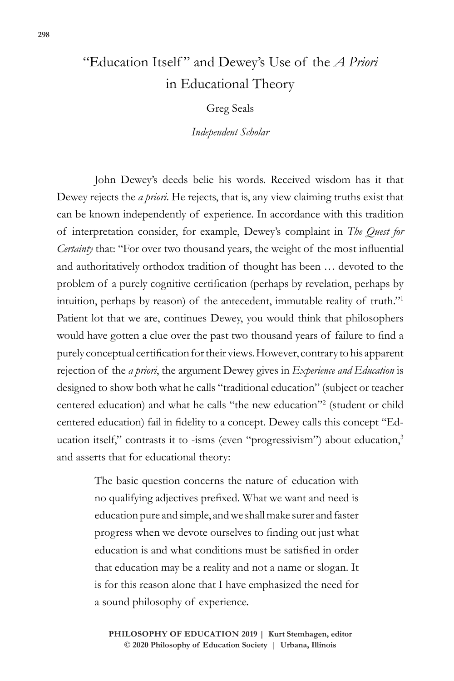## "Education Itself" and Dewey's Use of the *A Priori* in Educational Theory

Greg Seals

*Independent Scholar*

John Dewey's deeds belie his words. Received wisdom has it that Dewey rejects the *a priori*. He rejects, that is, any view claiming truths exist that can be known independently of experience. In accordance with this tradition of interpretation consider, for example, Dewey's complaint in *The Quest for Certainty* that: "For over two thousand years, the weight of the most influential and authoritatively orthodox tradition of thought has been … devoted to the problem of a purely cognitive certification (perhaps by revelation, perhaps by intuition, perhaps by reason) of the antecedent, immutable reality of truth."1 Patient lot that we are, continues Dewey, you would think that philosophers would have gotten a clue over the past two thousand years of failure to find a purely conceptual certification for their views. However, contrary to his apparent rejection of the *a priori*, the argument Dewey gives in *Experience and Education* is designed to show both what he calls "traditional education" (subject or teacher centered education) and what he calls "the new education"2 (student or child centered education) fail in fidelity to a concept. Dewey calls this concept "Education itself," contrasts it to -isms (even "progressivism") about education,<sup>3</sup> and asserts that for educational theory:

> The basic question concerns the nature of education with no qualifying adjectives prefixed. What we want and need is education pure and simple, and we shall make surer and faster progress when we devote ourselves to finding out just what education is and what conditions must be satisfied in order that education may be a reality and not a name or slogan. It is for this reason alone that I have emphasized the need for a sound philosophy of experience.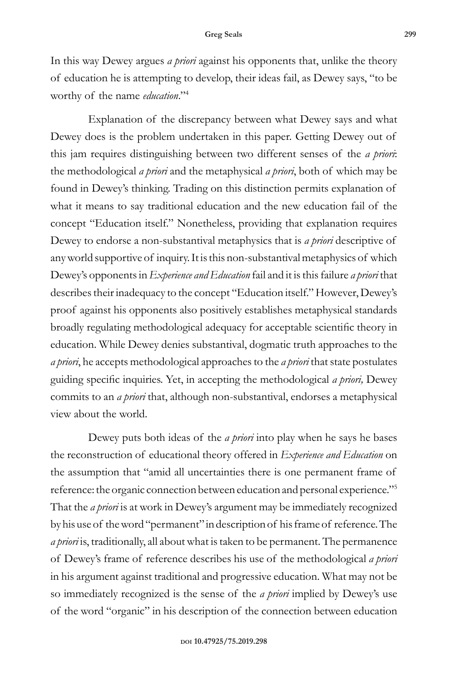In this way Dewey argues *a priori* against his opponents that, unlike the theory of education he is attempting to develop, their ideas fail, as Dewey says, "to be worthy of the name *education*."4

Explanation of the discrepancy between what Dewey says and what Dewey does is the problem undertaken in this paper. Getting Dewey out of this jam requires distinguishing between two different senses of the *a priori*: the methodological *a priori* and the metaphysical *a priori*, both of which may be found in Dewey's thinking. Trading on this distinction permits explanation of what it means to say traditional education and the new education fail of the concept "Education itself." Nonetheless, providing that explanation requires Dewey to endorse a non-substantival metaphysics that is *a priori* descriptive of any world supportive of inquiry. It is this non-substantival metaphysics of which Dewey's opponents in *Experience and Education* fail and it is this failure *a priori* that describes their inadequacy to the concept "Education itself." However, Dewey's proof against his opponents also positively establishes metaphysical standards broadly regulating methodological adequacy for acceptable scientific theory in education. While Dewey denies substantival, dogmatic truth approaches to the *a priori*, he accepts methodological approaches to the *a priori* that state postulates guiding specific inquiries. Yet, in accepting the methodological *a priori,* Dewey commits to an *a priori* that, although non-substantival, endorses a metaphysical view about the world.

Dewey puts both ideas of the *a priori* into play when he says he bases the reconstruction of educational theory offered in *Experience and Education* on the assumption that "amid all uncertainties there is one permanent frame of reference: the organic connection between education and personal experience."5 That the *a priori* is at work in Dewey's argument may be immediately recognized by his use of the word "permanent" in description of his frame of reference. The *a priori* is, traditionally, all about what is taken to be permanent. The permanence of Dewey's frame of reference describes his use of the methodological *a priori*  in his argument against traditional and progressive education. What may not be so immediately recognized is the sense of the *a priori* implied by Dewey's use of the word "organic" in his description of the connection between education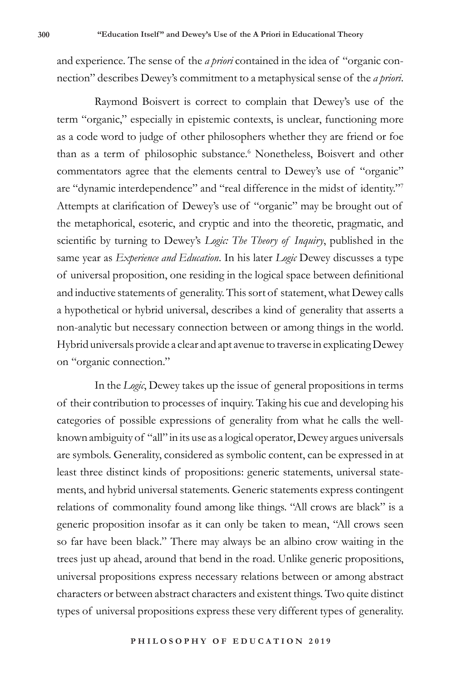and experience. The sense of the *a priori* contained in the idea of "organic connection" describes Dewey's commitment to a metaphysical sense of the *a priori*.

Raymond Boisvert is correct to complain that Dewey's use of the term "organic," especially in epistemic contexts, is unclear, functioning more as a code word to judge of other philosophers whether they are friend or foe than as a term of philosophic substance.<sup>6</sup> Nonetheless, Boisvert and other commentators agree that the elements central to Dewey's use of "organic" are "dynamic interdependence" and "real difference in the midst of identity."7 Attempts at clarification of Dewey's use of "organic" may be brought out of the metaphorical, esoteric, and cryptic and into the theoretic, pragmatic, and scientific by turning to Dewey's *Logic: The Theory of Inquiry*, published in the same year as *Experience and Education*. In his later *Logic* Dewey discusses a type of universal proposition, one residing in the logical space between definitional and inductive statements of generality. This sort of statement, what Dewey calls a hypothetical or hybrid universal, describes a kind of generality that asserts a non-analytic but necessary connection between or among things in the world. Hybrid universals provide a clear and apt avenue to traverse in explicating Dewey on "organic connection."

In the *Logic*, Dewey takes up the issue of general propositions in terms of their contribution to processes of inquiry. Taking his cue and developing his categories of possible expressions of generality from what he calls the wellknown ambiguity of "all" in its use as a logical operator, Dewey argues universals are symbols. Generality, considered as symbolic content, can be expressed in at least three distinct kinds of propositions: generic statements, universal statements, and hybrid universal statements. Generic statements express contingent relations of commonality found among like things. "All crows are black" is a generic proposition insofar as it can only be taken to mean, "All crows seen so far have been black." There may always be an albino crow waiting in the trees just up ahead, around that bend in the road. Unlike generic propositions, universal propositions express necessary relations between or among abstract characters or between abstract characters and existent things. Two quite distinct types of universal propositions express these very different types of generality.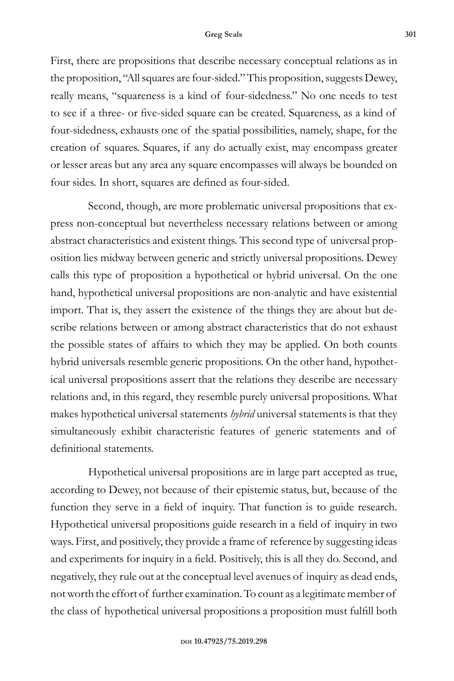## **Greg Seals 301**

First, there are propositions that describe necessary conceptual relations as in the proposition, "All squares are four-sided." This proposition, suggests Dewey, really means, "squareness is a kind of four-sidedness." No one needs to test to see if a three- or five-sided square can be created. Squareness, as a kind of four-sidedness, exhausts one of the spatial possibilities, namely, shape, for the creation of squares. Squares, if any do actually exist, may encompass greater or lesser areas but any area any square encompasses will always be bounded on four sides. In short, squares are defined as four-sided.

Second, though, are more problematic universal propositions that express non-conceptual but nevertheless necessary relations between or among abstract characteristics and existent things. This second type of universal proposition lies midway between generic and strictly universal propositions. Dewey calls this type of proposition a hypothetical or hybrid universal. On the one hand, hypothetical universal propositions are non-analytic and have existential import. That is, they assert the existence of the things they are about but describe relations between or among abstract characteristics that do not exhaust the possible states of affairs to which they may be applied. On both counts hybrid universals resemble generic propositions. On the other hand, hypothetical universal propositions assert that the relations they describe are necessary relations and, in this regard, they resemble purely universal propositions. What makes hypothetical universal statements *hybrid* universal statements is that they simultaneously exhibit characteristic features of generic statements and of definitional statements.

Hypothetical universal propositions are in large part accepted as true, according to Dewey, not because of their epistemic status, but, because of the function they serve in a field of inquiry. That function is to guide research. Hypothetical universal propositions guide research in a field of inquiry in two ways. First, and positively, they provide a frame of reference by suggesting ideas and experiments for inquiry in a field. Positively, this is all they do. Second, and negatively, they rule out at the conceptual level avenues of inquiry as dead ends, not worth the effort of further examination. To count as a legitimate member of the class of hypothetical universal propositions a proposition must fulfill both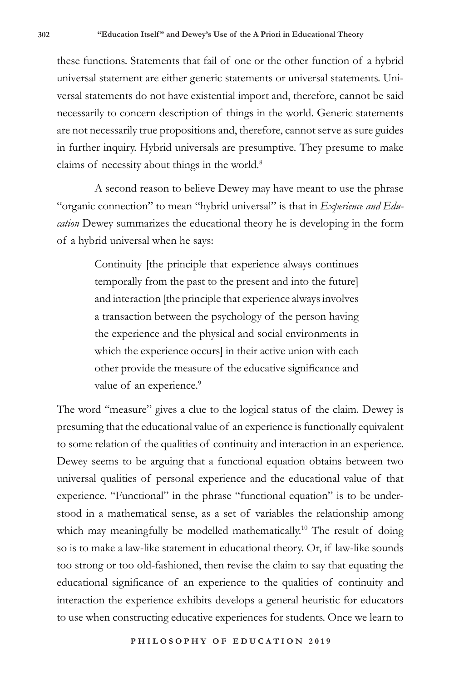these functions. Statements that fail of one or the other function of a hybrid universal statement are either generic statements or universal statements. Universal statements do not have existential import and, therefore, cannot be said necessarily to concern description of things in the world. Generic statements are not necessarily true propositions and, therefore, cannot serve as sure guides in further inquiry. Hybrid universals are presumptive. They presume to make claims of necessity about things in the world.<sup>8</sup>

A second reason to believe Dewey may have meant to use the phrase "organic connection" to mean "hybrid universal" is that in *Experience and Education* Dewey summarizes the educational theory he is developing in the form of a hybrid universal when he says:

> Continuity [the principle that experience always continues temporally from the past to the present and into the future] and interaction [the principle that experience always involves a transaction between the psychology of the person having the experience and the physical and social environments in which the experience occurs] in their active union with each other provide the measure of the educative significance and value of an experience.<sup>9</sup>

The word "measure" gives a clue to the logical status of the claim. Dewey is presuming that the educational value of an experience is functionally equivalent to some relation of the qualities of continuity and interaction in an experience. Dewey seems to be arguing that a functional equation obtains between two universal qualities of personal experience and the educational value of that experience. "Functional" in the phrase "functional equation" is to be understood in a mathematical sense, as a set of variables the relationship among which may meaningfully be modelled mathematically.<sup>10</sup> The result of doing so is to make a law-like statement in educational theory. Or, if law-like sounds too strong or too old-fashioned, then revise the claim to say that equating the educational significance of an experience to the qualities of continuity and interaction the experience exhibits develops a general heuristic for educators to use when constructing educative experiences for students. Once we learn to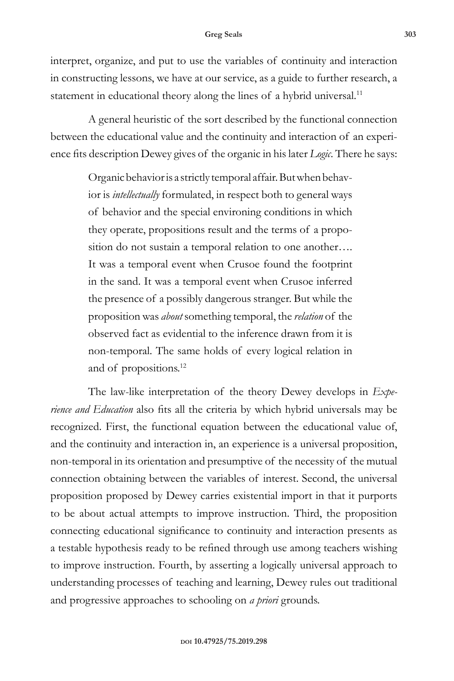## **Greg Seals 303**

interpret, organize, and put to use the variables of continuity and interaction in constructing lessons, we have at our service, as a guide to further research, a statement in educational theory along the lines of a hybrid universal.<sup>11</sup>

A general heuristic of the sort described by the functional connection between the educational value and the continuity and interaction of an experience fits description Dewey gives of the organic in his later *Logic*. There he says:

> Organic behavior is a strictly temporal affair. But when behavior is *intellectually* formulated, in respect both to general ways of behavior and the special environing conditions in which they operate, propositions result and the terms of a proposition do not sustain a temporal relation to one another…. It was a temporal event when Crusoe found the footprint in the sand. It was a temporal event when Crusoe inferred the presence of a possibly dangerous stranger. But while the proposition was *about* something temporal, the *relation* of the observed fact as evidential to the inference drawn from it is non-temporal. The same holds of every logical relation in and of propositions.12

The law-like interpretation of the theory Dewey develops in *Experience and Education* also fits all the criteria by which hybrid universals may be recognized. First, the functional equation between the educational value of, and the continuity and interaction in, an experience is a universal proposition, non-temporal in its orientation and presumptive of the necessity of the mutual connection obtaining between the variables of interest. Second, the universal proposition proposed by Dewey carries existential import in that it purports to be about actual attempts to improve instruction. Third, the proposition connecting educational significance to continuity and interaction presents as a testable hypothesis ready to be refined through use among teachers wishing to improve instruction. Fourth, by asserting a logically universal approach to understanding processes of teaching and learning, Dewey rules out traditional and progressive approaches to schooling on *a priori* grounds.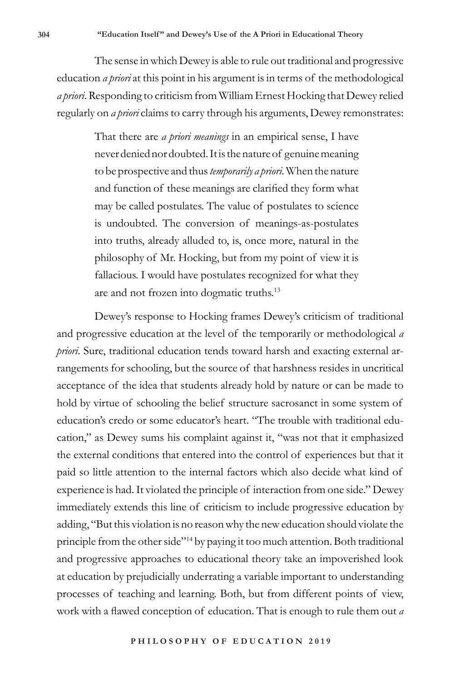The sense in which Dewey is able to rule out traditional and progressive education *a priori* at this point in his argument is in terms of the methodological *a priori*. Responding to criticism from William Ernest Hocking that Dewey relied regularly on *a priori* claims to carry through his arguments, Dewey remonstrates:

> That there are *a priori meanings* in an empirical sense, I have never denied nor doubted. It is the nature of genuine meaning to be prospective and thus *temporarily a priori*. When the nature and function of these meanings are clarified they form what may be called postulates. The value of postulates to science is undoubted. The conversion of meanings-as-postulates into truths, already alluded to, is, once more, natural in the philosophy of Mr. Hocking, but from my point of view it is fallacious. I would have postulates recognized for what they are and not frozen into dogmatic truths.<sup>13</sup>

Dewey's response to Hocking frames Dewey's criticism of traditional and progressive education at the level of the temporarily or methodological *a priori*. Sure, traditional education tends toward harsh and exacting external arrangements for schooling, but the source of that harshness resides in uncritical acceptance of the idea that students already hold by nature or can be made to hold by virtue of schooling the belief structure sacrosanct in some system of education's credo or some educator's heart. "The trouble with traditional education," as Dewey sums his complaint against it, "was not that it emphasized the external conditions that entered into the control of experiences but that it paid so little attention to the internal factors which also decide what kind of experience is had. It violated the principle of interaction from one side." Dewey immediately extends this line of criticism to include progressive education by adding, "But this violation is no reason why the new education should violate the principle from the other side"<sup>14</sup> by paying it too much attention. Both traditional and progressive approaches to educational theory take an impoverished look at education by prejudicially underrating a variable important to understanding processes of teaching and learning. Both, but from different points of view, work with a flawed conception of education. That is enough to rule them out *a*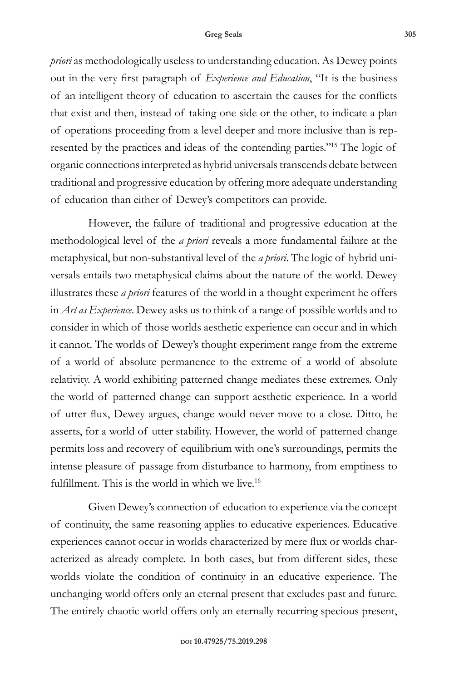## **Greg Seals 305**

*priori* as methodologically useless to understanding education. As Dewey points out in the very first paragraph of *Experience and Education*, "It is the business of an intelligent theory of education to ascertain the causes for the conflicts that exist and then, instead of taking one side or the other, to indicate a plan of operations proceeding from a level deeper and more inclusive than is represented by the practices and ideas of the contending parties."15 The logic of organic connections interpreted as hybrid universals transcends debate between traditional and progressive education by offering more adequate understanding of education than either of Dewey's competitors can provide.

However, the failure of traditional and progressive education at the methodological level of the *a priori* reveals a more fundamental failure at the metaphysical, but non-substantival level of the *a priori*. The logic of hybrid universals entails two metaphysical claims about the nature of the world. Dewey illustrates these *a priori* features of the world in a thought experiment he offers in *Art as Experience*. Dewey asks us to think of a range of possible worlds and to consider in which of those worlds aesthetic experience can occur and in which it cannot. The worlds of Dewey's thought experiment range from the extreme of a world of absolute permanence to the extreme of a world of absolute relativity. A world exhibiting patterned change mediates these extremes. Only the world of patterned change can support aesthetic experience. In a world of utter flux, Dewey argues, change would never move to a close. Ditto, he asserts, for a world of utter stability. However, the world of patterned change permits loss and recovery of equilibrium with one's surroundings, permits the intense pleasure of passage from disturbance to harmony, from emptiness to fulfillment. This is the world in which we live.<sup>16</sup>

Given Dewey's connection of education to experience via the concept of continuity, the same reasoning applies to educative experiences. Educative experiences cannot occur in worlds characterized by mere flux or worlds characterized as already complete. In both cases, but from different sides, these worlds violate the condition of continuity in an educative experience. The unchanging world offers only an eternal present that excludes past and future. The entirely chaotic world offers only an eternally recurring specious present,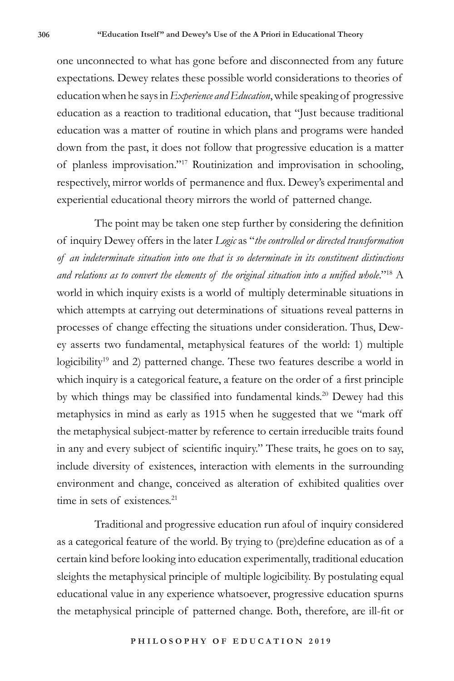one unconnected to what has gone before and disconnected from any future expectations. Dewey relates these possible world considerations to theories of education when he says in *Experience and Education*, while speaking of progressive education as a reaction to traditional education, that "Just because traditional education was a matter of routine in which plans and programs were handed down from the past, it does not follow that progressive education is a matter of planless improvisation."17 Routinization and improvisation in schooling, respectively, mirror worlds of permanence and flux. Dewey's experimental and experiential educational theory mirrors the world of patterned change.

The point may be taken one step further by considering the definition of inquiry Dewey offers in the later *Logic* as "*the controlled or directed transformation of an indeterminate situation into one that is so determinate in its constituent distinctions*  and relations as to convert the elements of the original situation into a unified whole."<sup>18</sup> A world in which inquiry exists is a world of multiply determinable situations in which attempts at carrying out determinations of situations reveal patterns in processes of change effecting the situations under consideration. Thus, Dewey asserts two fundamental, metaphysical features of the world: 1) multiple logicibility<sup>19</sup> and 2) patterned change. These two features describe a world in which inquiry is a categorical feature, a feature on the order of a first principle by which things may be classified into fundamental kinds.<sup>20</sup> Dewey had this metaphysics in mind as early as 1915 when he suggested that we "mark off the metaphysical subject-matter by reference to certain irreducible traits found in any and every subject of scientific inquiry." These traits, he goes on to say, include diversity of existences, interaction with elements in the surrounding environment and change, conceived as alteration of exhibited qualities over time in sets of existences.<sup>21</sup>

Traditional and progressive education run afoul of inquiry considered as a categorical feature of the world. By trying to (pre)define education as of a certain kind before looking into education experimentally, traditional education sleights the metaphysical principle of multiple logicibility. By postulating equal educational value in any experience whatsoever, progressive education spurns the metaphysical principle of patterned change. Both, therefore, are ill-fit or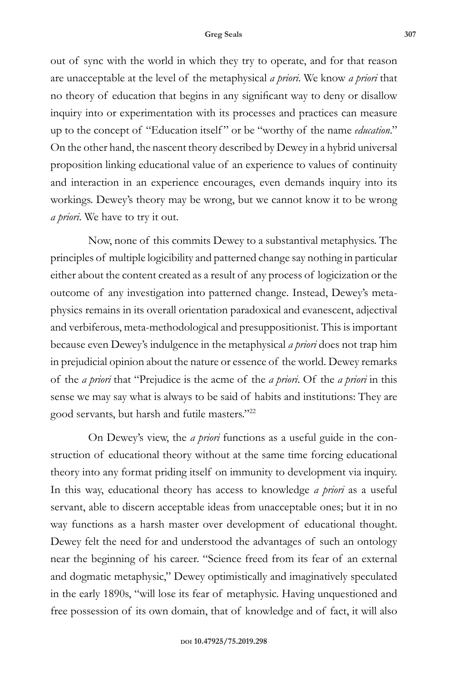out of sync with the world in which they try to operate, and for that reason are unacceptable at the level of the metaphysical *a priori*. We know *a priori* that no theory of education that begins in any significant way to deny or disallow inquiry into or experimentation with its processes and practices can measure up to the concept of "Education itself " or be "worthy of the name *education*." On the other hand, the nascent theory described by Dewey in a hybrid universal proposition linking educational value of an experience to values of continuity and interaction in an experience encourages, even demands inquiry into its workings. Dewey's theory may be wrong, but we cannot know it to be wrong *a priori*. We have to try it out.

Now, none of this commits Dewey to a substantival metaphysics. The principles of multiple logicibility and patterned change say nothing in particular either about the content created as a result of any process of logicization or the outcome of any investigation into patterned change. Instead, Dewey's metaphysics remains in its overall orientation paradoxical and evanescent, adjectival and verbiferous, meta-methodological and presuppositionist. This is important because even Dewey's indulgence in the metaphysical *a priori* does not trap him in prejudicial opinion about the nature or essence of the world. Dewey remarks of the *a priori* that "Prejudice is the acme of the *a priori*. Of the *a priori* in this sense we may say what is always to be said of habits and institutions: They are good servants, but harsh and futile masters."22

On Dewey's view, the *a priori* functions as a useful guide in the construction of educational theory without at the same time forcing educational theory into any format priding itself on immunity to development via inquiry. In this way, educational theory has access to knowledge *a priori* as a useful servant, able to discern acceptable ideas from unacceptable ones; but it in no way functions as a harsh master over development of educational thought. Dewey felt the need for and understood the advantages of such an ontology near the beginning of his career. "Science freed from its fear of an external and dogmatic metaphysic," Dewey optimistically and imaginatively speculated in the early 1890s, "will lose its fear of metaphysic. Having unquestioned and free possession of its own domain, that of knowledge and of fact, it will also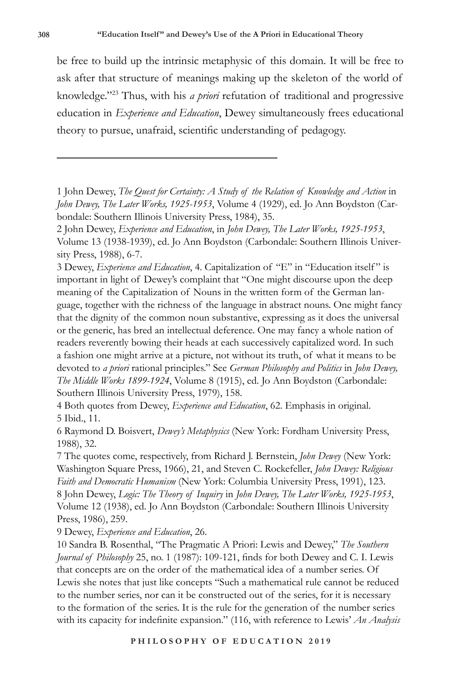be free to build up the intrinsic metaphysic of this domain. It will be free to ask after that structure of meanings making up the skeleton of the world of knowledge."23 Thus, with his *a priori* refutation of traditional and progressive education in *Experience and Education*, Dewey simultaneously frees educational theory to pursue, unafraid, scientific understanding of pedagogy.

3 Dewey, *Experience and Education*, 4. Capitalization of "E" in "Education itself " is important in light of Dewey's complaint that "One might discourse upon the deep meaning of the Capitalization of Nouns in the written form of the German language, together with the richness of the language in abstract nouns. One might fancy that the dignity of the common noun substantive, expressing as it does the universal or the generic, has bred an intellectual deference. One may fancy a whole nation of readers reverently bowing their heads at each successively capitalized word. In such a fashion one might arrive at a picture, not without its truth, of what it means to be devoted to *a priori* rational principles." See *German Philosophy and Politics* in *John Dewey, The Middle Works 1899-1924*, Volume 8 (1915), ed. Jo Ann Boydston (Carbondale: Southern Illinois University Press, 1979), 158.

4 Both quotes from Dewey, *Experience and Education*, 62. Emphasis in original. 5 Ibid., 11.

6 Raymond D. Boisvert, *Dewey's Metaphysics* (New York: Fordham University Press, 1988), 32.

7 The quotes come, respectively, from Richard J. Bernstein, *John Dewey* (New York: Washington Square Press, 1966), 21, and Steven C. Rockefeller, *John Dewey: Religious Faith and Democratic Humanism* (New York: Columbia University Press, 1991), 123. 8 John Dewey, *Logic: The Theory of Inquiry* in *John Dewey, The Later Works, 1925-1953*, Volume 12 (1938), ed. Jo Ann Boydston (Carbondale: Southern Illinois University Press, 1986), 259.

9 Dewey, *Experience and Education*, 26.

10 Sandra B. Rosenthal, "The Pragmatic A Priori: Lewis and Dewey," *The Southern Journal of Philosophy* 25, no. 1 (1987): 109-121, finds for both Dewey and C. I. Lewis that concepts are on the order of the mathematical idea of a number series. Of Lewis she notes that just like concepts "Such a mathematical rule cannot be reduced to the number series, nor can it be constructed out of the series, for it is necessary to the formation of the series. It is the rule for the generation of the number series with its capacity for indefinite expansion." (116, with reference to Lewis' *An Analysis* 

<sup>1</sup> John Dewey, *The Quest for Certainty: A Study of the Relation of Knowledge and Action* in *John Dewey, The Later Works, 1925-1953*, Volume 4 (1929), ed. Jo Ann Boydston (Carbondale: Southern Illinois University Press, 1984), 35.

<sup>2</sup> John Dewey, *Experience and Education*, in *John Dewey, The Later Works, 1925-1953*, Volume 13 (1938-1939), ed. Jo Ann Boydston (Carbondale: Southern Illinois University Press, 1988), 6-7.